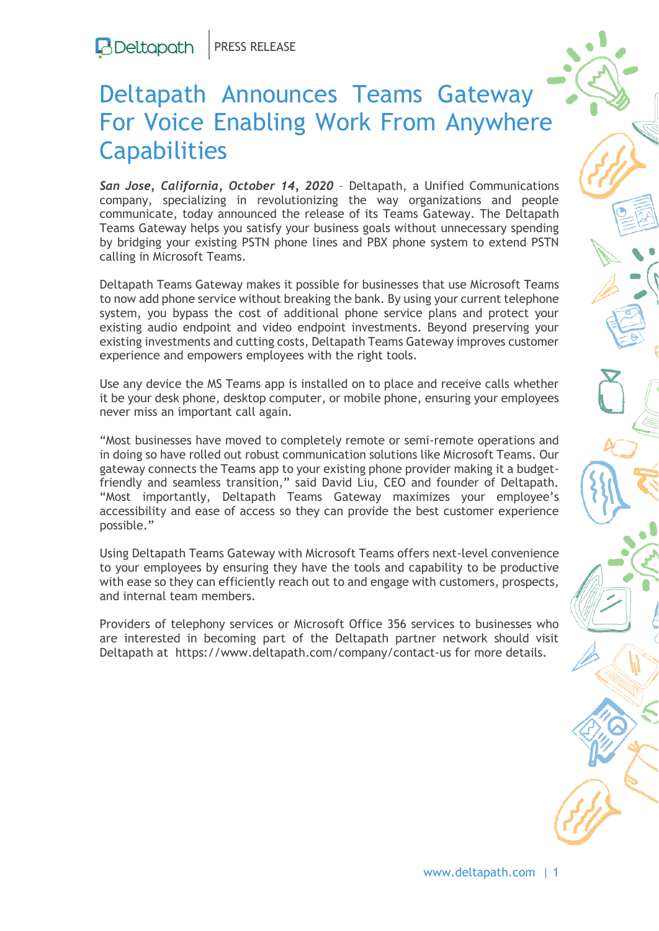## Deltapath Announces Teams Gateway For Voice Enabling Work From Anywhere **Capabilities**

*San Jose, California, October 14, 2020* – Deltapath, a Unified Communications company, specializing in revolutionizing the way organizations and people communicate, today announced the release of its Teams Gateway. The [Deltapath](https://www.deltapath.com/deltapath-teams-gateway/)  [Teams Gateway](https://www.deltapath.com/deltapath-teams-gateway/) helps you satisfy your business goals without unnecessary spending by bridging your existing PSTN phone lines and PBX phone system to extend PSTN calling in Microsoft Teams.

Deltapath Teams Gateway makes it possible for businesses that use Microsoft Teams to now add phone service without breaking the bank. By using your current telephone system, you bypass the cost of additional phone service plans and protect your existing audio endpoint and video endpoint investments. Beyond preserving your existing investments and cutting costs, Deltapath Teams Gateway improves customer experience and empowers employees with the right tools.

Use any device the MS Teams app is installed on to place and receive calls whether it be your desk phone, desktop computer, or mobile phone, ensuring your employees never miss an important call again.

"Most businesses have moved to completely remote or semi-remote operations and in doing so have rolled out robust communication solutions like Microsoft Teams. Our gateway connects the Teams app to your existing phone provider making it a budgetfriendly and seamless transition," said David Liu, CEO and founder of Deltapath. "Most importantly, Deltapath Teams Gateway maximizes your employee's accessibility and ease of access so they can provide the best customer experience possible."

Using Deltapath Teams Gateway with Microsoft Teams offers next-level convenience to your employees by ensuring they have the tools and capability to be productive with ease so they can efficiently reach out to and engage with customers, prospects, and internal team members.

Providers of telephony services or Microsoft Office 356 services to businesses who are interested in becoming part of the Deltapath partner network should visit Deltapath at <https://www.deltapath.com/company/contact-us> for more details.